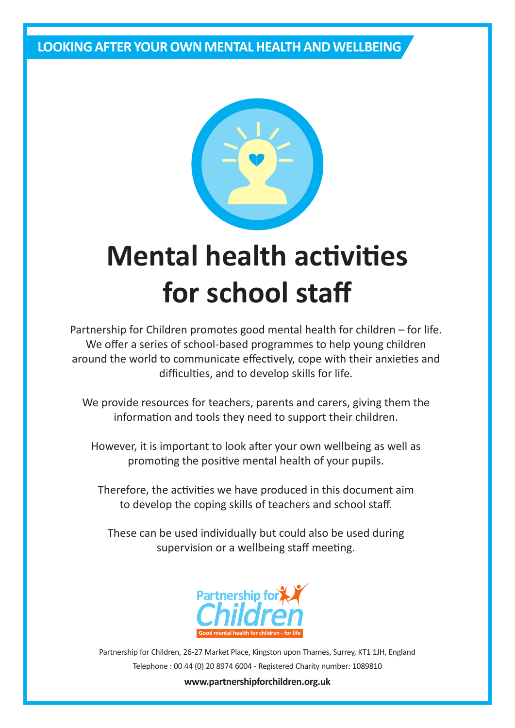### **LOOKING AFTER YOUR OWN MENTAL HEALTH AND WELLBEING**



# **Mental health activities for school staff**

Partnership for Children promotes good mental health for children – for life. We offer a series of school-based programmes to help young children around the world to communicate effectively, cope with their anxieties and difficulties, and to develop skills for life.

We provide resources for teachers, parents and carers, giving them the information and tools they need to support their children.

However, it is important to look after your own wellbeing as well as promoting the positive mental health of your pupils.

Therefore, the activities we have produced in this document aim to develop the coping skills of teachers and school staff.

These can be used individually but could also be used during supervision or a wellbeing staff meeting.



Partnership for Children, 26-27 Market Place, Kingston upon Thames, Surrey, KT1 1JH, England Telephone : 00 44 (0) 20 8974 6004 - Registered Charity number: 1089810

#### **www.partnershipforchildren.org.uk**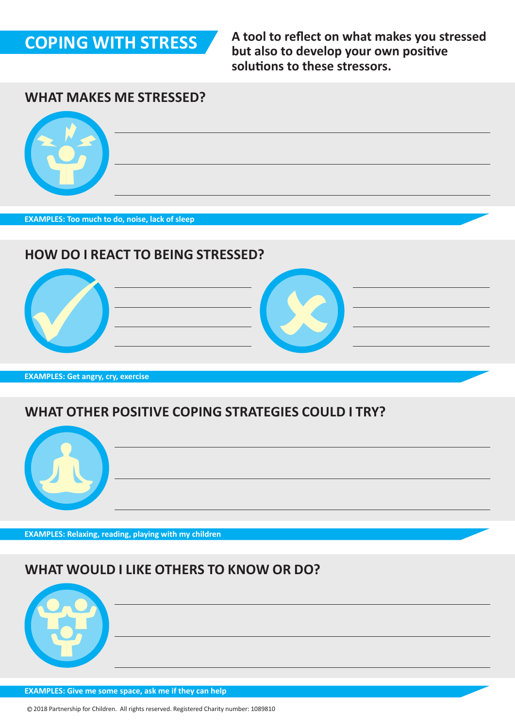

**A tool to reflect on what makes you stressed but also to develop your own positive solutions to these stressors.**

#### **WHAT MAKES ME STRESSED?**



**EXAMPLES: Too much to do, noise, lack of sleep**

### **HOW DO I REACT TO BEING STRESSED?**







**EXAMPLES: Get angry, cry, exercise**

### **WHAT OTHER POSITIVE COPING STRATEGIES COULD I TRY?**



**EXAMPLES: Relaxing, reading, playing with my children**

### **WHAT WOULD I LIKE OTHERS TO KNOW OR DO?**



**EXAMPLES: Give me some space, ask me if they can help**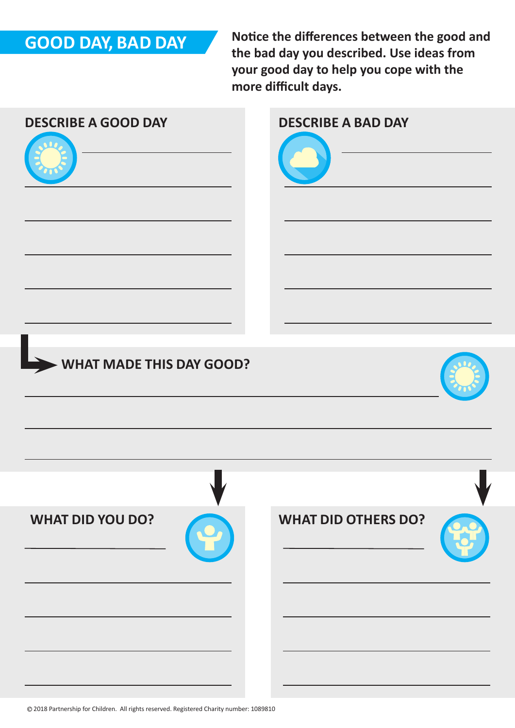# **GOOD DAY, BAD DAY**

**Notice the differences between the good and the bad day you described. Use ideas from your good day to help you cope with the more difficult days.**

| <b>DESCRIBE A GOOD DAY</b> | <b>DESCRIBE A BAD DAY</b>  |
|----------------------------|----------------------------|
| WHAT MADE THIS DAY GOOD?   |                            |
| <b>WHAT DID YOU DO?</b>    | <b>WHAT DID OTHERS DO?</b> |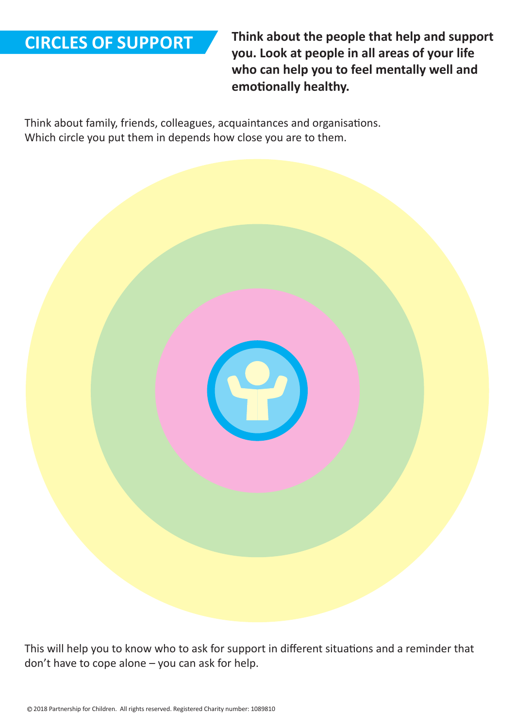### **CIRCLES OF SUPPORT**

**Think about the people that help and support you. Look at people in all areas of your life who can help you to feel mentally well and emotionally healthy.**

Think about family, friends, colleagues, acquaintances and organisations. Which circle you put them in depends how close you are to them.

This will help you to know who to ask for support in different situations and a reminder that don't have to cope alone – you can ask for help.

P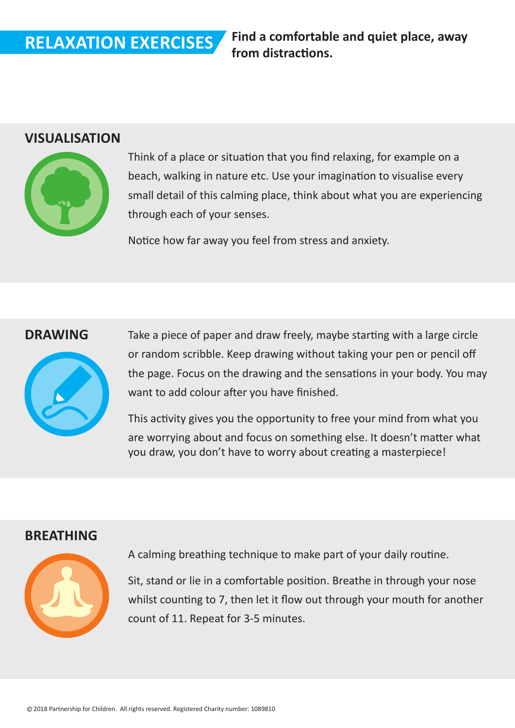**Find a comfortable and quiet place, away** 

### **VISUALISATION**



Think of a place or situation that you find relaxing, for example on a beach, walking in nature etc. Use your imagination to visualise every small detail of this calming place, think about what you are experiencing through each of your senses.

Notice how far away you feel from stress and anxiety.

#### **DRAWING**



Take a piece of paper and draw freely, maybe starting with a large circle or random scribble. Keep drawing without taking your pen or pencil off the page. Focus on the drawing and the sensations in your body. You may want to add colour after you have finished.

This activity gives you the opportunity to free your mind from what you are worrying about and focus on something else. It doesn't matter what you draw, you don't have to worry about creating a masterpiece!

#### **BREATHING**



A calming breathing technique to make part of your daily routine.

Sit, stand or lie in a comfortable position. Breathe in through your nose whilst counting to 7, then let it flow out through your mouth for another count of 11. Repeat for 3-5 minutes.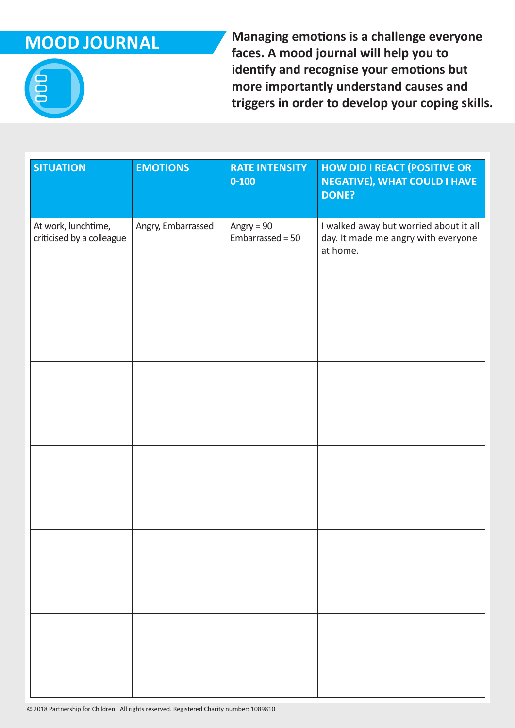# **MOOD JOURNAL**

**Managing emotions is a challenge everyone faces. A mood journal will help you to identify and recognise your emotions but more importantly understand causes and triggers in order to develop your coping skills.** 

| <b>SITUATION</b>                                 | <b>EMOTIONS</b>    | <b>RATE INTENSITY</b><br>$0 - 100$ | <b>HOW DID I REACT (POSITIVE OR</b><br><b>NEGATIVE), WHAT COULD I HAVE</b><br><b>DONE?</b> |
|--------------------------------------------------|--------------------|------------------------------------|--------------------------------------------------------------------------------------------|
| At work, lunchtime,<br>criticised by a colleague | Angry, Embarrassed | Angry = $90$<br>Embarrassed = 50   | I walked away but worried about it all<br>day. It made me angry with everyone<br>at home.  |
|                                                  |                    |                                    |                                                                                            |
|                                                  |                    |                                    |                                                                                            |
|                                                  |                    |                                    |                                                                                            |
|                                                  |                    |                                    |                                                                                            |
|                                                  |                    |                                    |                                                                                            |
|                                                  |                    |                                    |                                                                                            |
|                                                  |                    |                                    |                                                                                            |
|                                                  |                    |                                    |                                                                                            |
|                                                  |                    |                                    |                                                                                            |
|                                                  |                    |                                    |                                                                                            |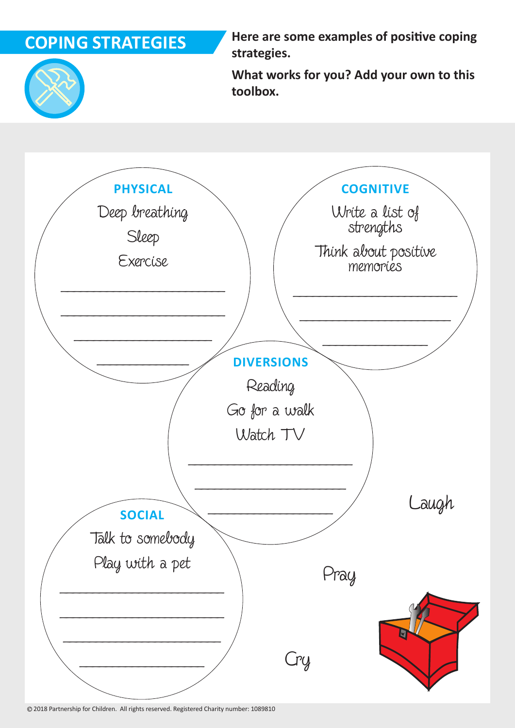# **COPING STRATEGIES**

**Here are some examples of positive coping strategies.**



**What works for you? Add your own to this toolbox.**



2018 Partnership for Children. All rights reserved. Registered Charity number: 1089810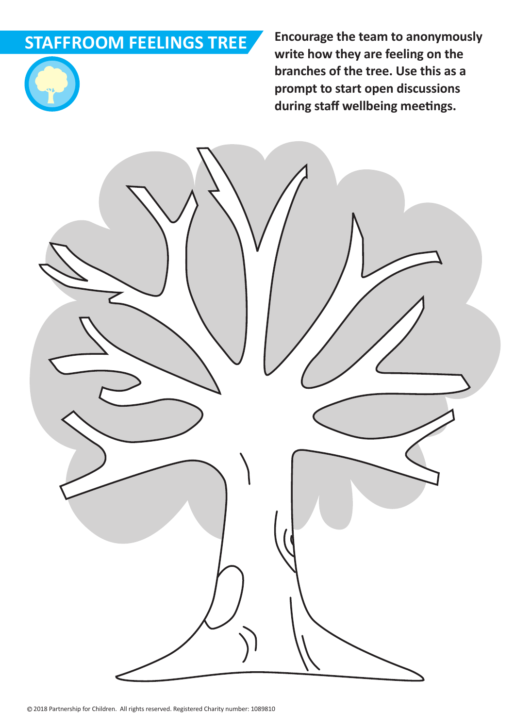# **STAFFROOM FEELINGS TREE**



**Encourage the team to anonymously write how they are feeling on the branches of the tree. Use this as a prompt to start open discussions during staff wellbeing meetings.**

2018 Partnership for Children. All rights reserved. Registered Charity number: 1089810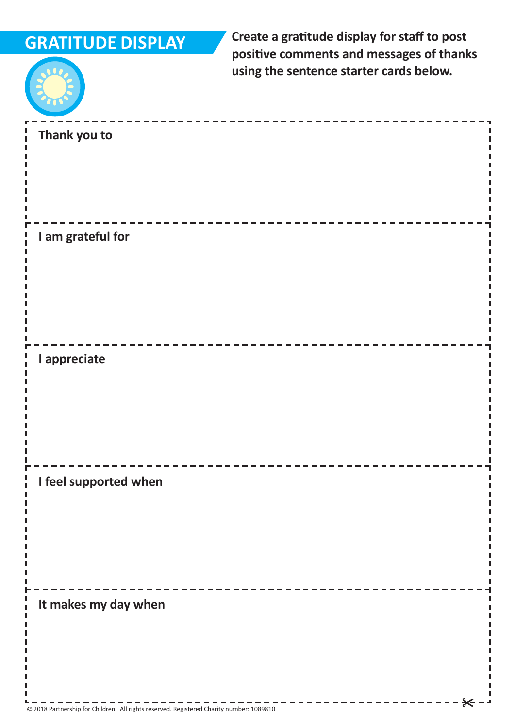# **GRATITUDE DISPLAY**

**Create a gratitude display for staff to post positive comments and messages of thanks using the sentence starter cards below.** 



| Thank you to          |  |
|-----------------------|--|
|                       |  |
|                       |  |
|                       |  |
|                       |  |
|                       |  |
|                       |  |
|                       |  |
| I am grateful for     |  |
|                       |  |
|                       |  |
|                       |  |
|                       |  |
|                       |  |
|                       |  |
|                       |  |
|                       |  |
| I appreciate          |  |
|                       |  |
|                       |  |
|                       |  |
|                       |  |
|                       |  |
|                       |  |
|                       |  |
|                       |  |
| I feel supported when |  |
|                       |  |
|                       |  |
|                       |  |
|                       |  |
|                       |  |
|                       |  |
|                       |  |
|                       |  |
|                       |  |
| It makes my day when  |  |
|                       |  |
|                       |  |
|                       |  |
|                       |  |
|                       |  |
|                       |  |